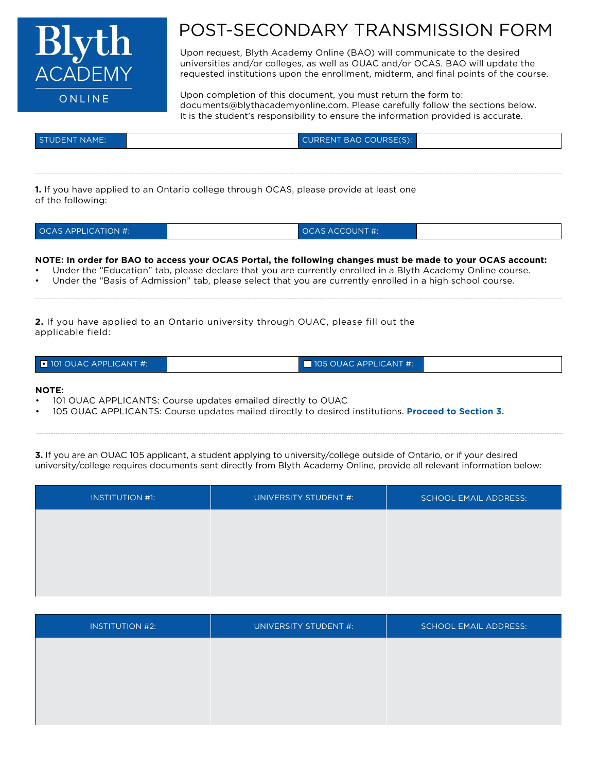

## POST-SECONDARY TRANSMISSION FORM

Upon request, Blyth Academy Online (BAO) will communicate to the desired universities and/or colleges, as well as OUAC and/or OCAS. BAO will update the requested institutions upon the enrollment, midterm, and final points of the course.

Upon completion of this document, you must return the form to: documents@blythacademyonline.com. Please carefully follow the sections below. It is the student's responsibility to ensure the information provided is accurate.

| <b>STUDENT NAME:</b> | CURRENT BAO COURSE(S): |  |
|----------------------|------------------------|--|
|                      |                        |  |

**1.** If you have applied to an Ontario college through OCAS, please provide at least one of the following:

| <b>OCAS APPLICATION #:</b> | $\lambda$ OCAS ACCOUNT #: |  |
|----------------------------|---------------------------|--|
|----------------------------|---------------------------|--|

## **NOTE: In order for BAO to access your OCAS Portal, the following changes must be made to your OCAS account:**

- Under the "Education" tab, please declare that you are currently enrolled in a Blyth Academy Online course.
- Under the "Basis of Admission" tab, please select that you are currently enrolled in a high school course.

**2.** If you have applied to an Ontario university through OUAC, please fill out the applicable field:

| $\Box$ 101 OUAC APPLICANT #: | $\blacksquare$ 105 OUAC APPLICANT #: |  |
|------------------------------|--------------------------------------|--|
|                              |                                      |  |

## **NOTE:**

- 101 OUAC APPLICANTS: Course updates emailed directly to OUAC
- 105 OUAC APPLICANTS: Course updates mailed directly to desired institutions. **Proceed to Section 3.**

**3.** If you are an OUAC 105 applicant, a student applying to university/college outside of Ontario, or if your desired university/college requires documents sent directly from Blyth Academy Online, provide all relevant information below:

| <b>INSTITUTION #1:</b> | UNIVERSITY STUDENT #: | <b>SCHOOL EMAIL ADDRESS:</b> |
|------------------------|-----------------------|------------------------------|
|                        |                       |                              |
|                        |                       |                              |
|                        |                       |                              |
|                        |                       |                              |

| <b>INSTITUTION #2:</b> | UNIVERSITY STUDENT #: | <b>SCHOOL EMAIL ADDRESS:</b> |
|------------------------|-----------------------|------------------------------|
|                        |                       |                              |
|                        |                       |                              |
|                        |                       |                              |
|                        |                       |                              |